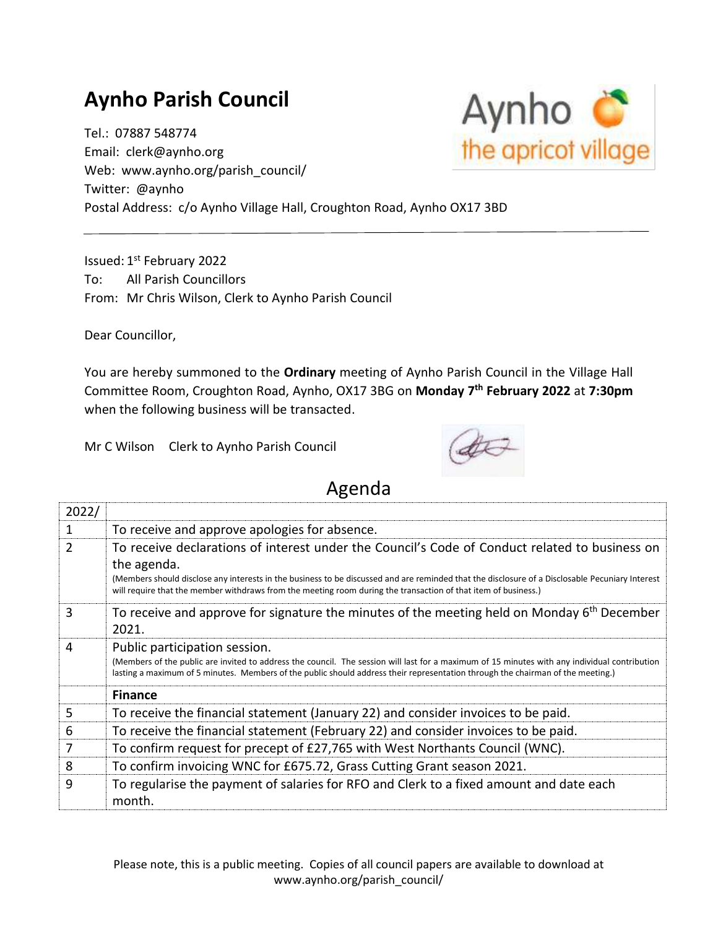## **Aynho Parish Council**

Tel.: 07887 548774 Email: clerk@aynho.org Web: www.aynho.org/parish\_council/ Twitter: @aynho Postal Address: c/o Aynho Village Hall, Croughton Road, Aynho OX17 3BD

Issued: 1st February 2022 To: All Parish Councillors From: Mr Chris Wilson, Clerk to Aynho Parish Council

Dear Councillor,

You are hereby summoned to the **Ordinary** meeting of Aynho Parish Council in the Village Hall Committee Room, Croughton Road, Aynho, OX17 3BG on **Monday 7 th February 2022** at **7:30pm** when the following business will be transacted.

Mr C Wilson Clerk to Aynho Parish Council



## Agenda

| 2022/         |                                                                                                                                                                                                                                                                                                                   |
|---------------|-------------------------------------------------------------------------------------------------------------------------------------------------------------------------------------------------------------------------------------------------------------------------------------------------------------------|
|               | To receive and approve apologies for absence.                                                                                                                                                                                                                                                                     |
| $\mathcal{P}$ | To receive declarations of interest under the Council's Code of Conduct related to business on                                                                                                                                                                                                                    |
|               | the agenda.<br>(Members should disclose any interests in the business to be discussed and are reminded that the disclosure of a Disclosable Pecuniary Interest<br>will require that the member withdraws from the meeting room during the transaction of that item of business.)                                  |
| 3             | To receive and approve for signature the minutes of the meeting held on Monday 6 <sup>th</sup> December<br>2021.                                                                                                                                                                                                  |
| 4             | Public participation session.<br>(Members of the public are invited to address the council. The session will last for a maximum of 15 minutes with any individual contribution<br>lasting a maximum of 5 minutes. Members of the public should address their representation through the chairman of the meeting.) |
|               | <b>Finance</b>                                                                                                                                                                                                                                                                                                    |
| 5             | To receive the financial statement (January 22) and consider invoices to be paid.                                                                                                                                                                                                                                 |
| 6             | To receive the financial statement (February 22) and consider invoices to be paid.                                                                                                                                                                                                                                |
| 7             | To confirm request for precept of £27,765 with West Northants Council (WNC).                                                                                                                                                                                                                                      |
| 8             | To confirm invoicing WNC for £675.72, Grass Cutting Grant season 2021.                                                                                                                                                                                                                                            |
| 9             | To regularise the payment of salaries for RFO and Clerk to a fixed amount and date each<br>month.                                                                                                                                                                                                                 |